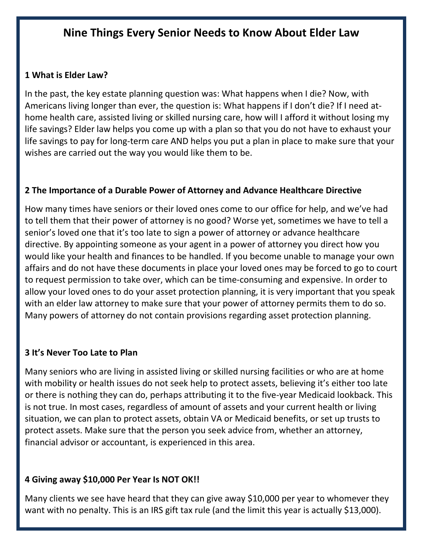# **Nine Things Every Senior Needs to Know About Elder Law**

#### **1 What is Elder Law?**

In the past, the key estate planning question was: What happens when I die? Now, with Americans living longer than ever, the question is: What happens if I don't die? If I need athome health care, assisted living or skilled nursing care, how will I afford it without losing my life savings? Elder law helps you come up with a plan so that you do not have to exhaust your life savings to pay for long-term care AND helps you put a plan in place to make sure that your wishes are carried out the way you would like them to be.

#### **2 The Importance of a Durable Power of Attorney and Advance Healthcare Directive**

How many times have seniors or their loved ones come to our office for help, and we've had to tell them that their power of attorney is no good? Worse yet, sometimes we have to tell a senior's loved one that it's too late to sign a power of attorney or advance healthcare directive. By appointing someone as your agent in a power of attorney you direct how you would like your health and finances to be handled. If you become unable to manage your own affairs and do not have these documents in place your loved ones may be forced to go to court to request permission to take over, which can be time-consuming and expensive. In order to allow your loved ones to do your asset protection planning, it is very important that you speak with an elder law attorney to make sure that your power of attorney permits them to do so. Many powers of attorney do not contain provisions regarding asset protection planning.

#### **3 It's Never Too Late to Plan**

Many seniors who are living in assisted living or skilled nursing facilities or who are at home with mobility or health issues do not seek help to protect assets, believing it's either too late or there is nothing they can do, perhaps attributing it to the five-year Medicaid lookback. This is not true. In most cases, regardless of amount of assets and your current health or living situation, we can plan to protect assets, obtain VA or Medicaid benefits, or set up trusts to protect assets. Make sure that the person you seek advice from, whether an attorney, financial advisor or accountant, is experienced in this area.

#### **4 Giving away \$10,000 Per Year Is NOT OK!!**

Many clients we see have heard that they can give away \$10,000 per year to whomever they want with no penalty. This is an IRS gift tax rule (and the limit this year is actually \$13,000).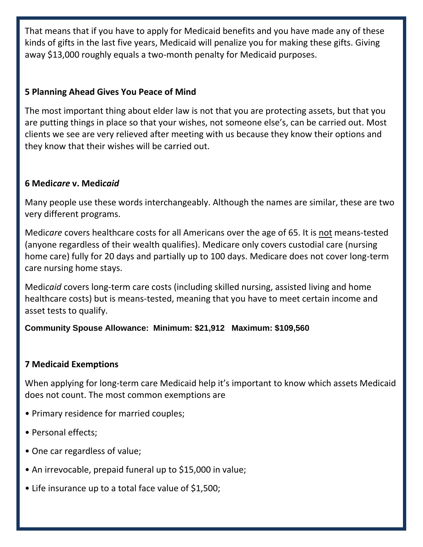That means that if you have to apply for Medicaid benefits and you have made any of these kinds of gifts in the last five years, Medicaid will penalize you for making these gifts. Giving away \$13,000 roughly equals a two-month penalty for Medicaid purposes.

## **5 Planning Ahead Gives You Peace of Mind**

The most important thing about elder law is not that you are protecting assets, but that you are putting things in place so that your wishes, not someone else's, can be carried out. Most clients we see are very relieved after meeting with us because they know their options and they know that their wishes will be carried out.

## **6 Medi***care* **v. Medi***caid*

Many people use these words interchangeably. Although the names are similar, these are two very different programs.

Medi*care* covers healthcare costs for all Americans over the age of 65. It is not means-tested (anyone regardless of their wealth qualifies). Medicare only covers custodial care (nursing home care) fully for 20 days and partially up to 100 days. Medicare does not cover long-term care nursing home stays.

Medi*caid* covers long-term care costs (including skilled nursing, assisted living and home healthcare costs) but is means-tested, meaning that you have to meet certain income and asset tests to qualify.

## **Community Spouse Allowance: Minimum: \$21,912 Maximum: \$109,560**

## **7 Medicaid Exemptions**

When applying for long-term care Medicaid help it's important to know which assets Medicaid does not count. The most common exemptions are

- Primary residence for married couples;
- Personal effects;
- One car regardless of value;
- An irrevocable, prepaid funeral up to \$15,000 in value;
- Life insurance up to a total face value of \$1,500;